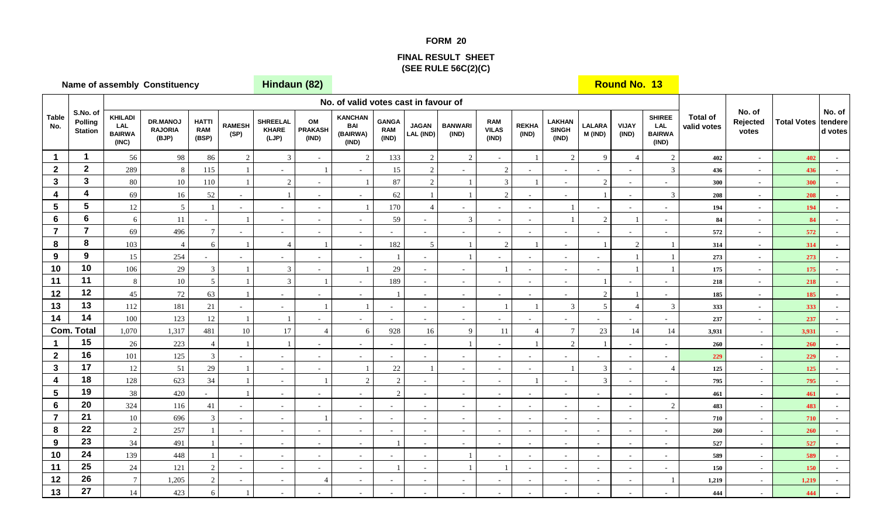## **FORM 20**

## **FINAL RESULT SHEET(SEE RULE 56C(2)(C)**

|                     | <b>Name of assembly Constituency</b>  |                                                 |                                            |                                     |                          |                                          | Hindaun (82)                  |                                                   |                                     |                           |                         |                                     |                          |                                        |                          | <b>Round No. 13</b>      |                                                       |                                |                             |                            |                   |
|---------------------|---------------------------------------|-------------------------------------------------|--------------------------------------------|-------------------------------------|--------------------------|------------------------------------------|-------------------------------|---------------------------------------------------|-------------------------------------|---------------------------|-------------------------|-------------------------------------|--------------------------|----------------------------------------|--------------------------|--------------------------|-------------------------------------------------------|--------------------------------|-----------------------------|----------------------------|-------------------|
|                     |                                       |                                                 |                                            |                                     |                          |                                          |                               | No. of valid votes cast in favour of              |                                     |                           |                         |                                     |                          |                                        |                          |                          |                                                       |                                |                             |                            |                   |
| <b>Table</b><br>No. | S.No. of<br>Polling<br><b>Station</b> | <b>KHILADI</b><br>LAL<br><b>BAIRWA</b><br>(INC) | <b>DR.MANOJ</b><br><b>RAJORIA</b><br>(BJP) | <b>HATTI</b><br><b>RAM</b><br>(BSP) | <b>RAMESH</b><br>(SP)    | <b>SHREELAL</b><br><b>KHARE</b><br>(LJP) | OM<br><b>PRAKASH</b><br>(IND) | <b>KANCHAN</b><br><b>BAI</b><br>(BAIRWA)<br>(IND) | <b>GANGA</b><br><b>RAM</b><br>(IND) | <b>JAGAN</b><br>LAL (IND) | <b>BANWARI</b><br>(IND) | <b>RAM</b><br><b>VILAS</b><br>(IND) | <b>REKHA</b><br>(IND)    | <b>LAKHAN</b><br><b>SINGH</b><br>(IND) | <b>LALARA</b><br>M (IND) | VIJAY<br>(IND)           | <b>SHIREE</b><br><b>LAL</b><br><b>BAIRWA</b><br>(IND) | <b>Total of</b><br>valid votes | No. of<br>Rejected<br>votes | <b>Total Votes tendere</b> | No. of<br>d votes |
| $\mathbf{1}$        | $\mathbf{1}$                          | 56                                              | 98                                         | 86                                  | $\sqrt{2}$               | 3                                        |                               | 2                                                 | 133                                 | $\overline{c}$            | $\overline{2}$          |                                     |                          | 2                                      | $\mathbf{Q}$             | $\overline{4}$           | $\overline{2}$                                        | 402                            | $\sim$                      | 402                        |                   |
| $\mathbf{2}$        | $\mathbf{2}$                          | 289                                             | 8                                          | 115                                 |                          | $\sim$                                   |                               |                                                   | 15                                  | 2                         |                         | 2                                   |                          | $\blacksquare$                         |                          | $\sim$                   | $\mathfrak{Z}$                                        | 436                            | $\sim$                      | 436                        |                   |
| 3                   | $\mathbf{3}$                          | $80\,$                                          | $10\,$                                     | $110\,$                             |                          | 2                                        | $\omega$                      |                                                   | 87                                  | $\overline{c}$            |                         | 3                                   |                          | $\sim$                                 | 2                        | $\sim$                   | $\sim$                                                | 300                            | $\overline{\phantom{a}}$    | 300                        |                   |
| 4                   | $\overline{\mathbf{4}}$               | 69                                              | 16                                         | 52                                  | $\omega$                 |                                          | $\sim$                        |                                                   | 62                                  |                           |                         | $\overline{2}$                      |                          | $\sim$                                 |                          | $\overline{\phantom{a}}$ | $\mathfrak{Z}$                                        | 208                            | $\overline{\phantom{a}}$    | 208                        |                   |
| 5                   | $5\phantom{a}$                        | 12                                              | $\mathfrak{S}$                             |                                     | $\omega$                 | $\sim$                                   | $\sim$                        |                                                   | 170                                 |                           |                         | $\sim$                              | $\sim$                   |                                        |                          | $\sim$                   | $\sim$                                                | 194                            | $\overline{\phantom{a}}$    | 194                        |                   |
| 6                   | $\bf 6$                               | 6                                               | $11\,$                                     |                                     |                          | $\sim$                                   | $\omega$                      | $\overline{a}$                                    | 59                                  |                           | 3                       | $\sim$                              | $\omega$                 |                                        | $\overline{c}$           |                          | $\sim$                                                | 84                             | $\omega$                    | 84                         |                   |
| $\overline{7}$      | $\overline{7}$                        | 69                                              | 496                                        | $\mathcal{I}$                       | $\overline{\phantom{a}}$ | $\sim$                                   | $\overline{\phantom{a}}$      | $\sim$                                            |                                     |                           |                         | $\sim$                              | $\sim$                   | $\sim$                                 |                          |                          | $\sim$                                                | 572                            | $\sim$                      | 572                        |                   |
| 8                   | 8                                     | 103                                             | $\overline{4}$                             | 6                                   |                          | $\overline{4}$                           |                               | $\sim$                                            | 182                                 | $\overline{5}$            |                         | $\sqrt{2}$                          |                          | $\sim$                                 |                          | $\sqrt{2}$               |                                                       | 314                            | $\overline{\phantom{a}}$    | 314                        |                   |
| 9                   | 9                                     | 15                                              | 254                                        |                                     | $\omega$                 | $\sim$                                   | $\sim$                        | $\sim$                                            |                                     | $\sim$                    |                         | $\sim$                              | $\sim$                   | $\sim$                                 | $\sim$                   |                          | $\overline{1}$                                        | 273                            | $\blacksquare$              | 273                        |                   |
| 10                  | 10                                    | 106                                             | 29                                         | 3                                   |                          | 3                                        | $\sim$                        |                                                   | 29                                  |                           |                         | $\mathbf{1}$                        | $\sim$                   | $\sim$                                 |                          |                          |                                                       | 175                            | $\sim$                      | 175                        |                   |
| 11                  | 11                                    | 8                                               | $10\,$                                     | 5                                   |                          | 3                                        |                               |                                                   | 189                                 | $\sim$                    |                         | $\sim$                              | $\sim$                   | $\blacksquare$                         |                          |                          | $\sim$                                                | 218                            | $\sim$                      | 218                        |                   |
| 12                  | 12                                    | $45\,$                                          | 72                                         | 63                                  |                          | $\sim$                                   |                               |                                                   |                                     |                           |                         | $\sim$                              |                          | $\overline{\phantom{a}}$               | $\overline{2}$           |                          | $\sim$                                                | 185                            | $\overline{\phantom{a}}$    | 185                        |                   |
| 13                  | 13                                    | 112                                             | 181                                        | $21\,$                              | $\overline{\phantom{a}}$ | $\sim$                                   |                               |                                                   | $\sim$                              | $\overline{\phantom{a}}$  | $\sim$                  | $\overline{1}$                      |                          | 3                                      | 5                        | $\overline{4}$           | $\mathfrak{Z}$                                        | 333                            | $\overline{\phantom{a}}$    | 333                        |                   |
| 14                  | 14                                    | 100                                             | 123                                        | $12\,$                              | $\overline{1}$           |                                          | $\sim$                        | ÷,                                                | $\sim$                              | $\sim$                    |                         | $\sim$                              |                          | $\sim$                                 |                          | $\overline{\phantom{a}}$ |                                                       | 237                            | $\overline{\phantom{a}}$    | 237                        |                   |
|                     | <b>Com. Total</b>                     | 1,070                                           | 1,317                                      | 481                                 | $10\,$                   | 17                                       | $\overline{4}$                | 6                                                 | 928                                 | 16                        | 9                       | 11                                  |                          | $\overline{7}$                         | $23\,$                   | 14                       | 14                                                    | 3,931                          | $\sim$                      | 3,931                      |                   |
| 1                   | 15                                    | $26\,$                                          | 223                                        |                                     |                          |                                          | ÷.                            |                                                   | $\sim$                              |                           |                         | $\sim$                              |                          | $\overline{2}$                         |                          | $\overline{\phantom{a}}$ | $\sim$                                                | 260                            | $\blacksquare$              | 260                        |                   |
| $\mathbf{2}$        | 16                                    | 101                                             | 125                                        | $\mathcal{R}$                       | $\blacksquare$           | $\sim$                                   | $\sim$                        |                                                   |                                     |                           |                         | $\sim$                              | $\sim$                   |                                        |                          | $\sim$                   | $\sim$                                                | 229                            | $\sim$                      | 229                        |                   |
| $\mathbf{3}$        | 17                                    | 12                                              | 51                                         | 29                                  |                          | $\sim$                                   | $\sim$                        |                                                   | $22\,$                              |                           | $\sim$                  | $\sim$                              | $\sim$                   |                                        | $\mathfrak{Z}$           | $\sim$                   | $\overline{4}$                                        | 125                            | $\blacksquare$              | 125                        |                   |
| 4                   | 18                                    | 128                                             | 623                                        | $34\,$                              |                          | $\sim$                                   | $\overline{1}$                | 2                                                 | $\sqrt{2}$                          |                           |                         | $\sim$                              |                          | $\overline{\phantom{a}}$               | $\mathfrak{Z}$           | $\overline{\phantom{a}}$ | $\sim$                                                | 795                            |                             | 795                        |                   |
| 5                   | 19                                    | 38                                              | 420                                        |                                     |                          | $\sim$                                   | $\sim$                        |                                                   | $\overline{2}$                      |                           | $\sim$                  | $\sim$                              | $\sim$                   | $\sim$                                 |                          | $\overline{\phantom{a}}$ | $\sim$                                                | 461                            | $\sim$                      | 461                        |                   |
| 6                   | 20<br>21                              | 324                                             | 116                                        | 41                                  | $\omega$                 | $\sim$                                   | $\sim$                        | $\sim$                                            | $\sim$                              | $\sim$                    | $\sim$                  | $\sim$                              | $\sim$                   | $\sim$                                 | $\sim$                   | $\sim$                   | $\overline{2}$                                        | 483                            |                             | 483                        |                   |
| $\overline{7}$      | 22                                    | $10\,$                                          | 696                                        | $\mathcal{R}$                       | $\sim$                   | $\sim$                                   |                               | $\sim$                                            | $\sim$                              | $\sim$                    |                         | $\sim$                              | $\omega$                 | $\sim$                                 | $\sim$                   | $\sim$                   | $\sim$                                                | 710                            | $\blacksquare$              | 710                        |                   |
| 8                   | 23                                    | $\overline{2}$                                  | 257                                        |                                     | $\blacksquare$           | $\sim$                                   | $\sim$                        | $\sim$                                            | $\sim$                              | $\sim$                    | $\sim$                  | $\sim$                              | $\sim$                   | $\sim$                                 | $\sim$                   | $\overline{\phantom{a}}$ | $\sim$                                                | 260                            | $\blacksquare$              | 260                        |                   |
| $\mathbf{9}$<br>10  | 24                                    | 34                                              | 491                                        |                                     | $\blacksquare$           | $\sim$                                   | $\overline{\phantom{a}}$      | $\sim$                                            |                                     | $\blacksquare$            |                         | $\sim$                              | ÷.                       | $\overline{\phantom{a}}$               |                          | $\overline{\phantom{a}}$ | $\sim$                                                | 527                            |                             | 527                        |                   |
|                     | 25                                    | 139                                             | 448                                        |                                     | $\blacksquare$           | $\sim$                                   | $\sim$                        | $\sim$                                            | $\sim$                              | $\sim$                    |                         | $\sim$                              | $\sim$                   | $\sim$                                 | $\overline{\phantom{a}}$ | $\sim$                   | $\sim$                                                | 589                            | $\sim$                      | 589                        |                   |
| 11<br>12            | 26                                    | $24\,$<br>$7\phantom{.0}$                       | 121                                        | $\overline{2}$                      | $\omega$                 | $\sim$                                   | $\overline{\phantom{a}}$      | $\overline{a}$                                    |                                     | $\sim$                    |                         |                                     | $\sim$                   | $\sim$                                 | $\sim$                   | $\sim$                   | $\sim$                                                | 150                            | $\blacksquare$              | 150                        |                   |
| 13                  | 27                                    | $14\,$                                          | 1,205<br>423                               | $\overline{2}$<br>6                 | $\overline{\phantom{a}}$ | $\sim$<br>$\sim$                         | $\overline{\mathcal{L}}$      | $\overline{\phantom{a}}$                          | $\sim$                              | $\overline{\phantom{a}}$  |                         | $\sim$                              | $\overline{\phantom{a}}$ | $\overline{\phantom{a}}$               | $\overline{\phantom{a}}$ | $\overline{\phantom{a}}$ |                                                       | 1,219                          |                             | 1,219                      |                   |
|                     |                                       |                                                 |                                            |                                     |                          |                                          |                               |                                                   |                                     |                           |                         |                                     |                          |                                        |                          |                          |                                                       | 444                            |                             | 444                        |                   |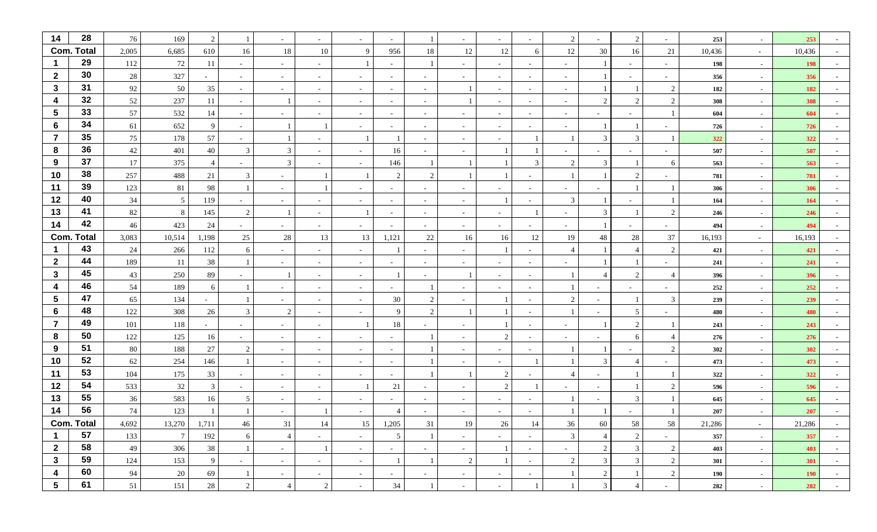| 14                      | 28                | 76     | 169             | 2      |                          | $\sim$         |                          |                          |                          |                          |                          |                          |                          | 2                        |                          | 2              |                          | 253    | $\sim$         | 253        |        |
|-------------------------|-------------------|--------|-----------------|--------|--------------------------|----------------|--------------------------|--------------------------|--------------------------|--------------------------|--------------------------|--------------------------|--------------------------|--------------------------|--------------------------|----------------|--------------------------|--------|----------------|------------|--------|
|                         | <b>Com. Total</b> | 2,005  | 6,685           | 610    | 16                       | 18             | 10                       | 9                        | 956                      | 18                       | 12                       | 12                       | 6                        | 12                       | 30                       | 16             | 21                       | 10,436 | $\sim$ $-$     | 10,436     |        |
| -1                      | 29                | 112    | 72              | 11     | $\sim$                   | $\sim$         | $\sim$                   |                          | $\sim$                   | -1                       |                          | $\sim$                   | $\overline{\phantom{a}}$ | $\sim$                   |                          | $\sim$         | $\overline{\phantom{0}}$ | 198    | $\sim$         | <b>198</b> |        |
| $\mathbf{2}$            | 30                | 28     | 327             |        | $\overline{\phantom{a}}$ | $\sim$         |                          |                          | $\overline{\phantom{a}}$ |                          |                          | $\sim$                   |                          | $\sim$                   |                          | $\sim$         |                          | 356    | $\sim$         | 356        |        |
| $\mathbf{3}$            | 31                | 92     | 50              | 35     | $\sim$                   | $\sim$         |                          | $\overline{\phantom{a}}$ | $\sim$                   | $\overline{\phantom{a}}$ |                          | $\sim$                   |                          | $\sim$                   |                          |                | $\overline{c}$           | 182    | $\sim$         | 182        |        |
| 4                       | 32                | 52     | 237             | 11     | $\sim$                   |                | $\sim$                   | $\sim$                   | $\sim$                   | $\sim$                   |                          | $\sim$                   | $\sim$                   | $\sim$                   | 2                        | 2              | 2                        | 308    | $\sim$         | 308        |        |
| 5                       | 33                | 57     | 532             | 14     | $\sim$                   |                |                          |                          | $\overline{a}$           | $\overline{\phantom{a}}$ |                          | $\sim$                   |                          | $\sim$                   |                          |                |                          | 604    | $\sim$         | 604        |        |
| 6                       | 34                | 61     | 652             | 9      | $\sim$                   |                |                          | $\overline{\phantom{a}}$ | $\sim$                   | $\overline{\phantom{a}}$ | $\overline{\phantom{a}}$ | $\sim$                   | $\overline{\phantom{a}}$ | $\sim$                   |                          |                |                          | 726    | $\sim$         | 726        |        |
| $\overline{7}$          | 35                | 75     | 178             | 57     | $\overline{\phantom{a}}$ |                |                          |                          |                          |                          |                          | $\sim$                   |                          |                          | $\mathfrak{Z}$           | 3              |                          | 322    | $\sim$         | 322        |        |
| 8                       | 36                | 42     | 401             | 40     | 3                        | 3              |                          | $\overline{\phantom{a}}$ | 16                       |                          |                          |                          |                          |                          |                          |                |                          | 507    | $\sim$         | 507        |        |
| 9                       | 37                | 17     | 375             |        | $\overline{\phantom{a}}$ | 3              | $\sim$                   | $\sim$                   | 146                      |                          |                          |                          | 3                        | $\overline{2}$           | 3                        |                | -6                       | 563    | $\sim$         | 563        |        |
| 10                      | 38                | 257    | 488             | 21     | 3                        | $\sim$         |                          |                          | $\mathcal{D}$            | 2                        |                          |                          |                          |                          |                          | $\mathcal{L}$  |                          | 781    | $\sim$         | 781        |        |
| 11                      | 39                | 123    | $81\,$          | 98     |                          | $\sim$         |                          |                          | $\sim$                   |                          |                          |                          |                          | $\overline{\phantom{0}}$ |                          |                |                          | 306    | $\sim$         | 306        |        |
| 12                      | 40                | 34     | $\mathfrak{S}$  | 119    | $\overline{\phantom{a}}$ | $\sim$         |                          | $\overline{\phantom{a}}$ | $\sim$                   | $\sim$                   |                          |                          |                          | 3                        |                          | $\sim$         |                          | 164    | $\sim$         | 164        |        |
| 13                      | 41                | 82     | $\,8\,$         | 145    | 2                        |                | $\overline{\phantom{0}}$ |                          | $\sim$                   | $\overline{\phantom{a}}$ |                          | $\sim$                   |                          | $\overline{\phantom{0}}$ | 3                        |                | 2                        | 246    | $\sim$         | 246        |        |
| 14                      | 42                | 46     | 423             | 24     | $\overline{\phantom{a}}$ | $\sim$         | $\sim$                   | $\overline{\phantom{a}}$ | $\sim$                   | $\sim$                   |                          | $\sim$                   |                          | $\sim$                   |                          | $\sim$         |                          | 494    | $\sim$         | 494        |        |
| Com.                    | . Total           | 3,083  | 10,514          | 1,198  | 25                       | 28             | 13                       | 13                       | 1,121                    | 22                       | 16                       | 16                       | 12                       | 19                       | 48                       | 28             | 37                       | 16,193 | $\sim$         | 16,193     |        |
| -1                      | 43                | 24     | 266             | 112    | 6                        | $\sim$         |                          |                          |                          |                          |                          |                          |                          | $\overline{4}$           |                          |                | 2                        | 421    | $\sim$         | 421        |        |
| $\mathbf{2}$            | 44                | 189    | 11              | 38     |                          | $\sim$         | $\sim$                   | $\sim$                   | $\overline{a}$           | $\sim$                   | $\overline{\phantom{a}}$ | $\sim$                   | $\overline{\phantom{a}}$ | $\overline{\phantom{0}}$ |                          |                | $\overline{\phantom{0}}$ | 241    | $\sim$         | 241        |        |
| $\mathbf{3}$            | 45                | 43     | 250             | 89     |                          |                | $\overline{\phantom{a}}$ | $\overline{\phantom{a}}$ |                          |                          |                          | $\sim$                   |                          |                          | $\overline{\mathcal{A}}$ | 2              | $\overline{4}$           | 396    | $\sim$         | 396        |        |
| 4                       | 46                | 54     | 189             | 6      |                          | $\sim$         | $\overline{\phantom{a}}$ | $\overline{\phantom{a}}$ | $\sim$                   |                          |                          | $\sim$                   |                          |                          | $\sim$                   | $\sim$         |                          | 252    | $\sim$         | 252        |        |
| 5                       | 47                | 65     | 134             | $\sim$ |                          | $\sim$         |                          | $\blacksquare$           | 30                       | 2                        |                          |                          |                          | 2                        | $\sim$                   |                | $\overline{3}$           | 239    | $\sim$         | 239        |        |
| 6                       | 48                | 122    | 308             | 26     | 3                        | 2              | $\overline{\phantom{0}}$ | $\overline{\phantom{a}}$ | 9                        | $\overline{2}$           |                          |                          |                          |                          |                          | 5              |                          | 480    | $\sim$         | 480        |        |
| $\overline{7}$          | 49                | 101    | 118             | $\sim$ | $\sim$                   | $\sim$         | $\sim$                   |                          | 18                       | $\overline{\phantom{0}}$ |                          |                          | $\overline{\phantom{a}}$ | $\sim$                   |                          | 2              |                          | 243    | $\sim$         | 243        |        |
| 8                       | 50                | 122    | 125             | 16     | $\overline{\phantom{a}}$ | $\sim$         |                          | $\overline{\phantom{a}}$ | $\sim$                   | $\overline{1}$           |                          | $\mathcal{D}$            |                          | $\sim$                   |                          | 6              | $\overline{4}$           | 276    | $\sim$         | 276        |        |
| 9                       | 51                | 80     | 188             | 27     | 2                        | $\sim$         | $\overline{\phantom{a}}$ | $\blacksquare$           | $\sim$                   |                          |                          | $\sim$                   |                          |                          |                          |                | 2                        | 302    | $\sim$         | 302        |        |
| 10                      | 52                | 62     | 254             | 146    |                          | $\sim$         | $\sim$                   | $\overline{\phantom{a}}$ | $\sim$                   | -1                       | $\overline{\phantom{a}}$ | $\sim$                   |                          |                          | 3                        | $\overline{4}$ | $\sim$                   | 473    | $\sim$         | 473        |        |
| 11                      | 53                | 104    | 175             | 33     | $\sim$                   | $\sim$         | $\overline{\phantom{0}}$ |                          | $\sim$                   |                          |                          | 2                        |                          | $\overline{4}$           |                          |                |                          | 322    | $\sim$         | 322        |        |
| 12                      | 54                | 533    | $32\,$          | 3      | $\overline{\phantom{a}}$ | $\sim$         | $\overline{\phantom{a}}$ |                          | 21                       |                          |                          | 2                        |                          | $\overline{\phantom{a}}$ | $\sim$                   |                | $\overline{2}$           | 596    | $\sim$         | 596        |        |
| 13                      | 55                | 36     | 583             | 16     | 5                        | $\sim$         |                          |                          | $\sim$                   |                          |                          | $\sim$                   |                          |                          |                          | 3              |                          | 645    | $\sim$         | 645        |        |
| 14                      | 56                | 74     | 123             |        |                          | $\sim$         |                          |                          |                          |                          |                          | $\overline{\phantom{a}}$ |                          |                          |                          |                |                          | 207    | $\sim$         | 207        |        |
|                         | Com. Total        | 4,692  | 13,270          | 1,711  | 46                       | 31             | 14                       | 15                       | 1,205                    | 31                       | 19                       | 26                       | 14                       | 36                       | 60                       | 58             | 58                       | 21,286 | $\sim 10^{-1}$ | 21,286     | $\sim$ |
| $\mathbf{1}$            | 57                | 133    | $7\phantom{.0}$ | 192    | 6                        | $\overline{4}$ | $\sim$                   | $\sim$                   | 5                        | -1                       | $\sim$                   | $\sim$                   |                          | $\mathfrak{Z}$           | $\overline{4}$           | $\overline{2}$ | $\sim$                   | 357    | $\sim$         | 357        | $\sim$ |
| $\overline{2}$          | 58                | $49\,$ | 306             | 38     | $\mathbf{1}$             | $\sim$         | $\overline{1}$           | $\sim$                   | $\sim$                   | $\sim$                   | $\sim$                   |                          | $\sim$                   | $\sim$                   | $\overline{2}$           | $\mathfrak{Z}$ | 2                        | 403    | $\sim$         | 403        | $\sim$ |
| $\mathbf{3}$            | 59                | 124    | 153             | 9      | $\sim$                   | $\sim$         | $\sim$                   | $\sim$                   |                          | $\mathbf{1}$             | $\sqrt{2}$               |                          | $\sim$                   | $\overline{2}$           | 3 <sup>7</sup>           | $\mathfrak{Z}$ | $\overline{2}$           | 301    | $\sim$         | 301        | $\sim$ |
| $\overline{\mathbf{4}}$ | 60                | 94     | $20\,$          | 69     |                          | $\sim$         | $\sim$                   | $\sim$                   | $\sim$                   | $\sim$                   | $\sim$                   | $\sim$                   | $\sim$                   |                          | 2                        |                | 2                        | 190    | $\sim$         | <b>190</b> | $\sim$ |
| $\overline{\mathbf{5}}$ | 61                | $51\,$ | 151             | 28     | $\overline{2}$           | $\overline{4}$ | $\overline{c}$           | $\overline{\phantom{a}}$ | 34                       | 1                        | $\overline{\phantom{a}}$ | $\sim$                   |                          |                          | $\mathfrak{Z}$           | $\overline{4}$ | $\sim$                   | 282    | $\sim$         | 282        | $\sim$ |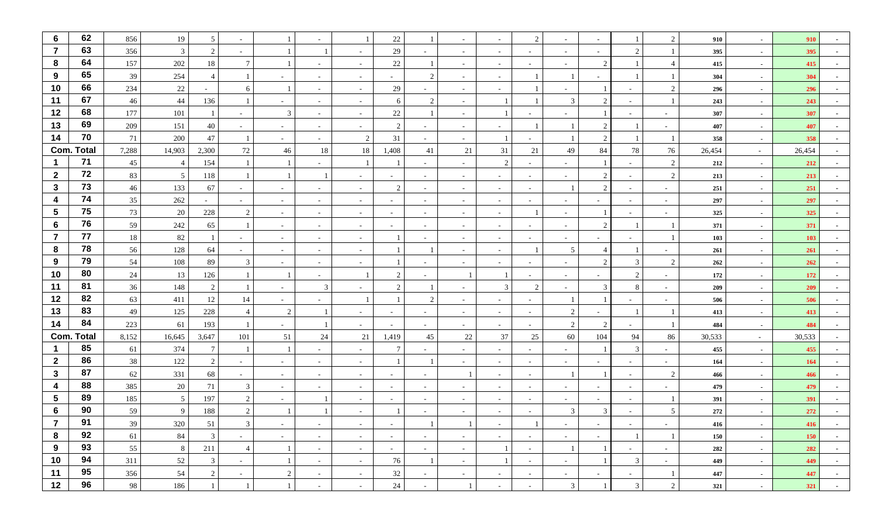| 6                       | 62                | 856   | 19              | 5               |                          |                |                          |                          | 22                       |                          |                          |                | 2                        | $\sim$                   |                          |                          | $\overline{2}$ | 910    | $\sim$ | 910        |        |
|-------------------------|-------------------|-------|-----------------|-----------------|--------------------------|----------------|--------------------------|--------------------------|--------------------------|--------------------------|--------------------------|----------------|--------------------------|--------------------------|--------------------------|--------------------------|----------------|--------|--------|------------|--------|
| $\overline{7}$          | 63                | 356   | $\mathbf{3}$    | $\overline{2}$  |                          |                |                          |                          | 29                       |                          |                          | $\sim$         |                          | $\sim$                   |                          | $\mathcal{D}$            |                | 395    | $\sim$ | 395        |        |
| 8                       | 64                | 157   | 202             | 18              |                          |                | $\overline{\phantom{a}}$ | $\overline{\phantom{a}}$ | 22                       |                          | $\overline{\phantom{a}}$ | $\sim$         | $\overline{\phantom{0}}$ | $\sim$                   | $\overline{2}$           |                          | 4              | 415    | $\sim$ | 415        |        |
| 9                       | 65                | 39    | 254             | $\overline{4}$  |                          | $\sim$         |                          |                          |                          | $\overline{2}$           |                          | $\sim$         |                          |                          |                          |                          |                | 304    | $\sim$ | 304        |        |
| 10                      | 66                | 234   | $22\,$          |                 | -6                       |                |                          |                          | 29                       |                          |                          | $\sim$         |                          |                          |                          |                          | $\overline{2}$ | 296    | $\sim$ | 296        |        |
| 11                      | 67                | 46    | $44$            | 136             |                          | $\sim$         | $\overline{\phantom{a}}$ | $\overline{\phantom{a}}$ | 6                        | $\overline{2}$           |                          |                |                          | 3                        | 2                        | $\sim$                   |                | 243    | $\sim$ | 243        |        |
| 12                      | 68                | 177   | 101             |                 | $\sim$                   | $\mathbf{3}$   | $\sim$                   | $\sim$                   | 22                       |                          | $\overline{\phantom{a}}$ |                |                          | $\overline{\phantom{0}}$ |                          | $\overline{\phantom{0}}$ |                | 307    | $\sim$ | 307        |        |
| 13                      | 69                | 209   | 151             | 40              | $\sim$                   | $\sim$         | $\sim$                   | $\overline{\phantom{a}}$ | 2                        |                          | $\sim$                   | $\sim$         |                          |                          | 2                        |                          |                | 407    | $\sim$ | 407        |        |
| 14                      | 70                | 71    | 200             | 47              |                          | $\sim$         | $\overline{\phantom{a}}$ | 2                        | 31                       |                          |                          |                |                          |                          | 2                        |                          |                | 358    | $\sim$ | 358        |        |
|                         | <b>Com. Total</b> | 7,288 | 14,903          | 2,300           | $72\,$                   | 46             | 18                       | 18                       | 1,408                    | 41                       | 21                       | 31             | $21\,$                   | 49                       | 84                       | 78                       | 76             | 26,454 | $\sim$ | 26,454     |        |
| $\mathbf 1$             | 71                | 45    | 4               | 154             |                          |                | $\sim$                   |                          |                          | $\sim$                   | $\sim$                   | $\overline{2}$ | $\sim$                   | $\sim$                   |                          | $\sim$                   | 2              | 212    | $\sim$ | 212        |        |
| $\overline{2}$          | 72                | 83    | $5\overline{)}$ | 118             |                          |                |                          |                          |                          |                          |                          | $\sim$         |                          | $\sim$                   | 2                        | $\sim$                   | 2              | 213    | $\sim$ | 213        |        |
| $\mathbf{3}$            | 73                | 46    | 133             | 67              | $\overline{\phantom{a}}$ | $\sim$         | $\overline{\phantom{a}}$ | $\overline{\phantom{a}}$ | $\overline{2}$           | $\sim$                   | $\overline{\phantom{a}}$ | $\sim$         | $\sim$                   |                          | 2                        | $\sim$                   |                | 251    | $\sim$ | 251        |        |
| 4                       | 74                | 35    | 262             | $\sim$          | $\sim$                   | $\sim$         |                          | $\overline{\phantom{a}}$ | $\sim$                   |                          |                          | $\sim$         |                          | $\sim$                   |                          | $\sim$                   |                | 297    | $\sim$ | 297        |        |
| $5\phantom{1}$          | 75                | 73    | 20              | 228             | 2                        | $\sim$         | $\sim$                   | $\overline{\phantom{a}}$ | $\sim$                   | $\sim$                   | $\sim$                   | $\sim$         |                          | $\sim$                   |                          | $\sim$                   | $\sim$         | 325    | $\sim$ | 325        |        |
| $6\phantom{1}6$         | 76                | 59    | 242             | 65              |                          | $\sim$         | $\sim$                   | $\sim$                   | $\sim$                   | $\sim$                   | $\sim$                   | $\sim$         | $\overline{\phantom{0}}$ | $\sim$                   | 2                        |                          |                | 371    | $\sim$ | 371        |        |
| $\overline{7}$          | 77                | 18    | 82              |                 | $\overline{\phantom{a}}$ | $\sim$         | $\overline{\phantom{a}}$ | $\overline{\phantom{a}}$ |                          |                          |                          | $\sim$         |                          | $\sim$                   |                          | $\sim$                   |                | 103    | $\sim$ | 103        |        |
| 8                       | 78                | 56    | 128             | 64              | $\overline{\phantom{a}}$ | $\sim$         | $\overline{\phantom{a}}$ |                          |                          |                          |                          | $\sim$         |                          | 5                        |                          |                          |                | 261    | $\sim$ | 261        |        |
| 9                       | 79                | 54    | 108             | 89              | 3                        | $\sim$         | $\sim$                   | $\sim$                   |                          | $\sim$                   | $\sim$                   | $\sim$         | $\sim$                   | $\sim$                   | 2                        | 3                        | $\overline{2}$ | 262    | $\sim$ | 262        |        |
| 10                      | 80                | 24    | 13              | 126             |                          |                | $\sim$                   |                          | $\mathfrak{D}$           |                          |                          |                |                          | $\sim$                   |                          | $\mathcal{D}$            |                | 172    | $\sim$ | 172        |        |
| 11                      | 81                | 36    | 148             | $\overline{2}$  |                          | $\sim$         | 3                        |                          | $\overline{c}$           |                          |                          | 3              | $\mathcal{D}$            | $\overline{\phantom{a}}$ | 3                        | 8                        |                | 209    | $\sim$ | 209        |        |
| 12                      | 82                | 63    | 411             | 12              | 14                       | $\sim$         |                          |                          |                          | 2                        |                          | $\sim$         |                          |                          |                          | $\sim$                   |                | 506    | $\sim$ | 506        |        |
| 13                      | 83                | 49    | 125             | 228             |                          | 2              |                          |                          |                          | $\overline{\phantom{a}}$ |                          | $\sim$         |                          | $\overline{2}$           |                          |                          |                | 413    | $\sim$ | 413        |        |
| 14                      | 84                | 223   | 61              | 193             |                          | $\sim$         |                          | $\sim$                   | $\overline{\phantom{0}}$ | $\overline{\phantom{a}}$ | $\overline{\phantom{a}}$ | $\sim$         | $\sim$                   | $\overline{2}$           | $\overline{2}$           | $\sim$                   |                | 484    | $\sim$ | 484        |        |
|                         | <b>Com. Total</b> | 8,152 | 16,645          | 3,647           | 101                      | 51             | 24                       | 21                       | 1,419                    | 45                       | 22                       | 37             | 25                       | 60                       | 104                      | 94                       | 86             | 30,533 | $\sim$ | 30,533     |        |
| -1                      | 85                | 61    | 374             | $7\overline{ }$ |                          |                |                          |                          | $\overline{7}$           |                          |                          | $\sim$         |                          | $\sim$                   |                          | 3                        |                | 455    | $\sim$ | 455        |        |
| $\overline{2}$          | 86                | 38    | 122             | $\overline{2}$  | $\sim$                   | $\sim$         | $\sim$                   | $\overline{\phantom{a}}$ |                          |                          |                          | $\sim$         |                          | $\sim$                   | $\overline{\phantom{a}}$ | $\sim$                   |                | 164    | $\sim$ | 164        |        |
| $\mathbf{3}$            | 87                | 62    | 331             | 68              | $\sim$                   | $\sim$         | $\sim$                   | $\overline{\phantom{a}}$ | $\overline{\phantom{0}}$ | $\overline{\phantom{a}}$ |                          | $\sim$         |                          |                          |                          | $\sim$                   | $\overline{2}$ | 466    | $\sim$ | 466        |        |
| 4                       | 88                | 385   | $20\,$          | 71              | 3                        | $\sim$         | $\sim$                   | $\overline{\phantom{a}}$ | $\sim$                   |                          |                          | $\sim$         |                          | $\sim$                   |                          | $\sim$                   |                | 479    | $\sim$ | 479        |        |
| $\overline{\mathbf{5}}$ | 89                | 185   | $5\overline{)}$ | 197             | 2                        | $\sim$         |                          |                          |                          |                          |                          | $\sim$         |                          | $\sim$                   |                          | $\overline{\phantom{0}}$ |                | 391    | $\sim$ | 391        |        |
| 6                       | 90                | 59    | 9               | 188             | $\mathcal{D}$            |                |                          |                          |                          |                          |                          |                |                          |                          |                          |                          | 5              | 272    |        | 272        |        |
|                         | 91                | 39    | 320             | 51              | $\mathbf{3}$             | $\sim$         | $\sim$                   | $\sim$                   | $\sim$                   | $\mathbf{1}$             | $\perp$                  | $\sim$ $-$     |                          | $\sim$ $-$               | $\sim$ $-$               | $\sim$                   | $\sim$         | 416    | $\sim$ | 416        | $\sim$ |
| 8                       | 92                | 61    | 84              | $\mathbf{3}$    | $\sim$                   | $\sim$         | $\sim$                   | $\sim$                   | $\sim$                   | $\sim$                   | $\sim$                   | $\sim$         | $\sim$                   | $\sim$                   | $\sim$                   |                          |                | 150    | $\sim$ | <b>150</b> | $\sim$ |
| 9                       | 93                | 55    | $8\phantom{.0}$ | 211             | $\overline{4}$           |                | $\sim$                   | $\sim$                   | $\sim$                   | $\sim$                   | $\sim$                   |                | $\sim$                   |                          |                          | $\sim$                   | $\sim$         | 282    | $\sim$ | 282        | $\sim$ |
| 10                      | 94                | 311   | 52              | $\mathbf{3}$    | $\sim$                   |                | $\sim$                   | $\sim$                   | 76                       | -1                       | $\sim$                   | -1             | $\sim$                   | $\sim$                   |                          | $\mathfrak{Z}$           | $\sim$         | 449    | $\sim$ | 449        | $\sim$ |
| 11                      | 95                | 356   | 54              | $\overline{2}$  | $\sim$                   | $\overline{2}$ | $\sim$                   | $\sim$                   | 32                       | $\sim$                   | $\sim$                   | $\sim$         | $\sim$                   | $\sim$                   | $\sim$                   | $\sim$                   |                | 447    | $\sim$ | 447        | $\sim$ |
| 12                      | 96                | 98    | 186             |                 |                          |                | $\sim$                   | $\sim$                   | 24                       | $\sim$                   |                          | $\sim$         | $\overline{\phantom{0}}$ | $\mathfrak{Z}$           |                          | $\mathfrak{Z}$           | $\overline{2}$ | 321    | $\sim$ | 321        | $\sim$ |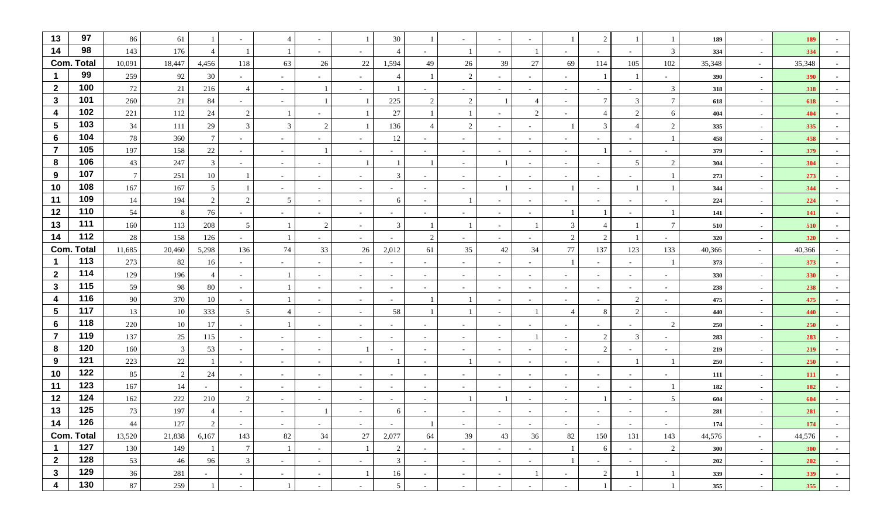| 13                      | 97  | 86              | 61             |                          | $\overline{\phantom{a}}$ |        | $\overline{\phantom{a}}$ |                          | 30                       |                          |                          | $\sim$     |                          |                          | $\overline{c}$           |                          | 1                        | 189    | $\sim$         | 189        |                  |
|-------------------------|-----|-----------------|----------------|--------------------------|--------------------------|--------|--------------------------|--------------------------|--------------------------|--------------------------|--------------------------|------------|--------------------------|--------------------------|--------------------------|--------------------------|--------------------------|--------|----------------|------------|------------------|
| 14                      | 98  | 143             | 176            | $\overline{4}$           |                          |        | $\sim$                   | $\overline{\phantom{a}}$ | $\overline{4}$           | $\sim$                   | $\overline{1}$           | $\sim$     |                          | $\sim$                   | $\sim$                   | $\sim$                   | $\mathfrak{Z}$           | 334    | $\sim$         | 334        |                  |
| <b>Com. Total</b>       |     | 10,091          | 18,447         | 4,456                    | 118                      | 63     | 26                       | 22                       | 1,594                    | 49                       | 26                       | 39         | 27                       | 69                       | 114                      | 105                      | 102                      | 35,348 | $\sim$         | 35,348     |                  |
| $\blacktriangleleft$    | 99  | 259             | 92             | 30                       | $\overline{\phantom{a}}$ | $\sim$ | $\overline{\phantom{a}}$ | $\overline{\phantom{a}}$ | $\overline{\mathcal{A}}$ |                          | 2                        | $\sim$     |                          | $\overline{\phantom{a}}$ |                          |                          | $\overline{\phantom{a}}$ | 390    | $\sim$         | 390        |                  |
| $\mathbf{2}$            | 100 | 72              | 21             | 216                      | $\overline{4}$           | $\sim$ | $\overline{1}$           |                          |                          |                          |                          | $\sim$     |                          | $\sim$                   |                          | $\overline{\phantom{0}}$ | 3                        | 318    | $\sim$         | 318        |                  |
| $\mathbf{3}$            | 101 | 260             | $21\,$         | 84                       | $\overline{\phantom{a}}$ | $\sim$ | $\overline{1}$           |                          | $225\,$                  | 2                        | $\sqrt{2}$               |            |                          | $\sim$                   | $\tau$                   | 3                        | $7\phantom{.0}$          | 618    | $\sim$         | 618        |                  |
| 4                       | 102 | 221             | 112            | 24                       | 2                        |        | $\sim$                   |                          | 27                       |                          |                          | $\sim$     | $\overline{2}$           | $\sim$                   | 4                        | 2                        | 6                        | 404    | $\sim$         | 404        |                  |
| $\overline{\mathbf{5}}$ | 103 | $34\,$          | 111            | 29                       | 3                        | 3      | $\overline{2}$           |                          | 136                      |                          | 2                        | $\sim$     |                          |                          | 3                        | $\overline{\mathcal{A}}$ | $\overline{2}$           | 335    | $\sim$         | 335        |                  |
| $6\phantom{1}6$         | 104 | 78              | 360            | $7\phantom{.0}$          | $\sim$                   | $\sim$ | $\overline{\phantom{a}}$ | $\overline{\phantom{a}}$ | 12                       | $\overline{\phantom{a}}$ | $\overline{\phantom{a}}$ | $\sim$     |                          | $\sim$                   | $\sim$                   | $\sim$                   |                          | 458    | $\sim$         | 458        |                  |
| $\overline{7}$          | 105 | 197             | 158            | 22                       | $\blacksquare$           | $\sim$ |                          | $\overline{\phantom{a}}$ |                          |                          |                          | $\sim$     |                          | $\sim$                   |                          |                          | $\overline{\phantom{a}}$ | 379    | $\sim$         | 379        |                  |
| 8                       | 106 | 43              | 247            | 3                        | $\sim$                   | $\sim$ | $\sim$                   |                          |                          |                          | $\overline{\phantom{a}}$ |            | $\overline{\phantom{0}}$ | $\sim$                   | $\sim$                   | $5\phantom{.0}$          | $\overline{2}$           | 304    | $\sim$         | 304        |                  |
| 9                       | 107 | $7\phantom{.0}$ | 251            | 10                       |                          | $\sim$ | $\sim$                   | $\sim$                   | 3                        | $\overline{\phantom{a}}$ |                          | $\sim$     |                          | $\sim$                   |                          | $\sim$                   |                          | 273    | $\sim$         | 273        |                  |
| 10                      | 108 | 167             | 167            | 5                        |                          | $\sim$ | $\sim$                   | $\sim$                   | $\sim$                   | $\sim$                   | $\sim$                   |            |                          |                          | $\sim$                   |                          |                          | 344    | $\blacksquare$ | 344        |                  |
| 11                      | 109 | 14              | 194            | 2                        | $\overline{2}$           | 5      | $\overline{\phantom{a}}$ | $\sim$                   | 6                        | $\overline{\phantom{a}}$ |                          | $\sim$     |                          | $\sim$                   | $\sim$                   | $\sim$                   |                          | 224    | $\sim$         | 224        |                  |
| 12                      | 110 | 54              | $8\,$          | 76                       | $\overline{\phantom{a}}$ | $\sim$ | $\overline{\phantom{a}}$ | $\sim$                   | $\overline{\phantom{0}}$ | $\overline{\phantom{a}}$ | $\overline{\phantom{a}}$ | $\sim$     |                          | $\mathbf{1}$             |                          | $\overline{\phantom{0}}$ |                          | 141    | $\sim$         | 141        |                  |
| 13                      | 111 | 160             | 113            | 208                      | 5                        |        | $\overline{2}$           | $\sim$                   | 3                        |                          |                          | $\sim$     |                          | 3                        | 4                        |                          | $\tau$                   | 510    | $\sim$         | 510        |                  |
| 14                      | 112 | 28              | 158            | 126                      | $\overline{\phantom{a}}$ |        | $\overline{\phantom{a}}$ | $\sim$                   | $\sim$                   | 2                        | $\overline{\phantom{a}}$ | $\sim$     |                          | $\overline{2}$           | 2                        |                          | $\overline{\phantom{a}}$ | 320    | $\sim$         | 320        |                  |
| <b>Com. Total</b>       |     | 11,685          | 20,460         | 5,298                    | 136                      | 74     | 33                       | 26                       | 2,012                    | 61                       | 35                       | 42         | 34                       | 77                       | 137                      | 123                      | 133                      | 40,366 | $\sim$         | 40,366     |                  |
| $\mathbf 1$             | 113 | 273             | 82             | 16                       | $\sim$                   | $\sim$ | $\sim$                   | $\sim$                   | $\overline{a}$           | $\overline{\phantom{a}}$ | $\sim$                   | $\sim$     |                          | $\overline{1}$           | $\sim$                   | $\sim$                   |                          | 373    | $\sim$         | 373        |                  |
| $\overline{2}$          | 114 | 129             | 196            | 4                        | $\sim$                   |        | $\sim$                   | $\sim$                   | $\sim$                   | $\sim$                   | $\overline{\phantom{a}}$ | $\sim$     |                          | $\sim$                   | $\sim$                   | $\sim$                   | $\sim$                   | 330    | $\sim$         | 330        |                  |
| $\mathbf{3}$            | 115 | 59              | 98             | $80\,$                   | $\overline{\phantom{a}}$ |        | $\overline{\phantom{a}}$ | $\sim$                   | $\sim$                   | $\overline{\phantom{a}}$ | $\overline{\phantom{a}}$ | $\sim$     |                          | $\overline{\phantom{a}}$ | $\overline{\phantom{a}}$ | $\sim$                   | $\overline{\phantom{a}}$ | 238    | $\sim$         | 238        |                  |
| 4                       | 116 | 90              | 370            | 10                       | $\sim$                   |        | $\sim$                   | $\sim$                   | $\sim$                   |                          |                          | $\sim$     |                          | $\sim$                   | $\sim$                   | $\overline{2}$           | $\sim$                   | 475    | $\sim$         | 475        |                  |
| $\overline{\mathbf{5}}$ | 117 | 13              | 10             | 333                      | 5                        |        | $\sim$                   | $\sim$                   | 58                       |                          |                          | $\sim$     |                          | $\overline{4}$           | 8                        | 2                        | $\sim$                   | 440    | $\sim$         | 440        |                  |
| 6                       | 118 | 220             | $10\,$         | 17                       | $\sim$                   |        | $\sim$                   | $\sim$                   | $\overline{a}$           | $\sim$                   | $\sim$                   | $\sim$     | $\overline{\phantom{0}}$ | $\sim$                   | $\sim$                   | $-$                      | $\overline{2}$           | 250    | $\sim$         | 250        |                  |
| $\overline{7}$          | 119 | 137             | 25             | 115                      | $\sim$                   | $\sim$ | $\overline{\phantom{a}}$ | $\overline{\phantom{a}}$ | $\sim$                   | $\overline{\phantom{a}}$ | $\overline{\phantom{a}}$ | $\sim$     |                          | $\sim$                   | 2                        | 3                        | $\overline{\phantom{a}}$ | 283    | $\sim$         | 283        |                  |
| 8                       | 120 | 160             | $\mathfrak{Z}$ | 53                       | $\sim$                   | $\sim$ | $\sim$                   |                          | $\sim$                   | $\sim$                   | $\overline{\phantom{a}}$ | $\sim$     |                          | $\sim$                   | $\overline{2}$           | $\sim$                   | $\overline{\phantom{a}}$ | 219    | $\blacksquare$ | 219        |                  |
| 9                       | 121 | 223             | $22\,$         |                          | $\sim$                   | $\sim$ | $\sim$                   | $\sim$                   |                          | $\overline{\phantom{a}}$ |                          | $\sim$     | $\sim$                   | $\sim$                   | $\sim$                   |                          |                          | 250    | $\sim$         | 250        |                  |
| 10                      | 122 | 85              | $\sqrt{2}$     | 24                       | $\sim$                   | $\sim$ | $\sim$                   | $\sim$                   | $\overline{a}$           | $\sim$                   |                          | $\sim$     |                          | $\sim$                   | $\overline{\phantom{0}}$ | $\sim$                   | $\sim$                   | 111    | $\sim$         | 111        |                  |
| 11                      | 123 | 167             | 14             | $\overline{\phantom{a}}$ | $\overline{\phantom{a}}$ | $\sim$ | $\overline{\phantom{a}}$ | $\overline{\phantom{a}}$ | $\sim$                   | $\overline{\phantom{a}}$ | $\overline{\phantom{a}}$ | $\sim$     | $\sim$                   | $\sim$                   | $\overline{\phantom{a}}$ | $\sim$                   |                          | 182    | $\sim$         | 182        |                  |
| 12                      | 124 | 162             | 222            | 210                      | 2                        | $\sim$ | $\overline{\phantom{a}}$ | $\sim$                   | $\sim$                   | $\overline{\phantom{a}}$ |                          |            |                          | $\sim$                   |                          | $\sim$                   | 5                        | 604    | $\sim$ $-$     | 604        |                  |
| 13                      | 125 | $73\,$          | 197            | 4                        | $\overline{\phantom{a}}$ | $\sim$ |                          |                          | 6                        |                          |                          |            |                          | $\overline{\phantom{a}}$ |                          |                          |                          | 281    | $\sim$         | 281        |                  |
| $14$ 126                |     | 44              | 127            | $\overline{2}$           | $\sim$ $-$               | $\sim$ | $\sim$                   | $\sim$                   | $\sim$ $ \sim$           | $\perp$                  | $\sim$                   | $\sim$     | $\sim$                   | $\sim$                   | $\sim$                   | $\sim$ $-$               | $\sim$ $-$               | 174    | $\sim$         | <b>174</b> | $\sim$ 100 $\pm$ |
| <b>Com. Total</b>       |     | 13,520          | 21,838         | 6,167                    | 143                      | 82     | 34                       | 27                       | 2,077                    | 64                       | 39                       | 43         | 36                       | 82                       | 150                      | 131                      | 143                      | 44,576 | $\sim$         | 44,576     | $\sim$           |
| $\blacksquare$          | 127 | 130             | 149            |                          | $\overline{7}$           |        | $\sim$                   | $\overline{1}$           | 2                        | $\sim$                   | $\sim$                   | $\sim$     | $\sim$                   | $\mathbf{1}$             | 6                        | $\sim$                   | 2                        | 300    | $\sim$         | 300        | $\sim$ $-$       |
| $\overline{2}$          | 128 | 53              | 46             | 96                       | $\mathfrak{Z}$           | $\sim$ | $\sim$                   | $\sim$                   | $\mathbf{3}$             | $\sim$                   | $\sim$                   | $\sim$ $-$ | $\sim$                   | 1                        | $\sim$                   | $\sim$                   | $\sim$                   | 202    | $\sim$         | 202        | $\sim$ $-$       |
| $\mathbf{3}$            | 129 | 36              | 281            | $\sim$                   | $\sim$                   | $\sim$ | $\sim$                   | $\overline{1}$           | $16\,$                   | $\sim$                   | $\sim$                   | $\sim$     |                          | $\sim$                   | $\overline{2}$           | $\mathbf{1}$             | $\mathbf{1}$             | 339    | $\sim$         | 339        | $\sim$ $-$       |
| $\overline{\mathbf{4}}$ | 130 | 87              | 259            |                          | $\sim$                   |        | $\sim$                   | $\sim$                   | $5\overline{)}$          | $\sim$                   | $\sim$                   | $\sim$     |                          | $\sim$                   | $\mathbf{1}$             | $\sim$                   |                          | 355    | $\sim$         | 355        | $\sim$ $-$       |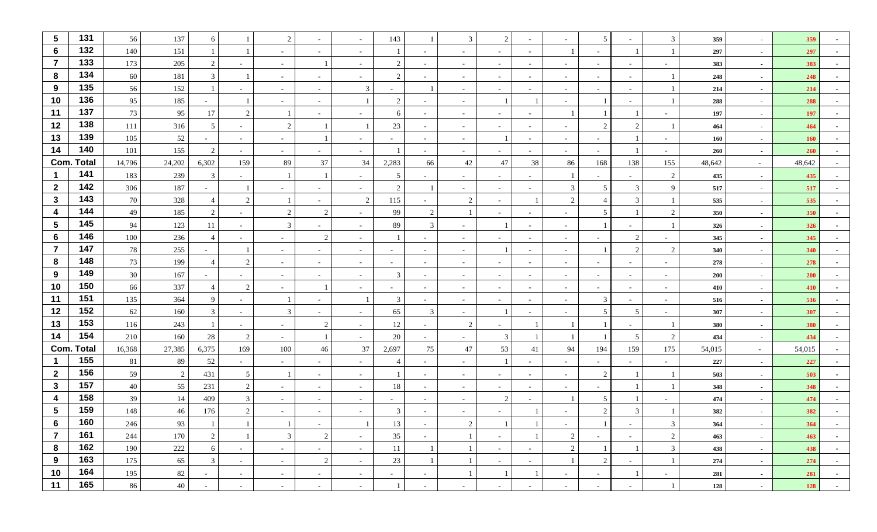| $\sqrt{5}$              | 131               | 56     | 137    | 6                        |                          | 2              |                          |                          | 143                      |                          | 3                        | 2              |                |                          | 5                             |                          | 3                        | 359    | $\sim$ | 359        |                          |
|-------------------------|-------------------|--------|--------|--------------------------|--------------------------|----------------|--------------------------|--------------------------|--------------------------|--------------------------|--------------------------|----------------|----------------|--------------------------|-------------------------------|--------------------------|--------------------------|--------|--------|------------|--------------------------|
| 6                       | 132               | 140    | 151    |                          |                          | $\sim$         | $\sim$                   |                          |                          |                          | $\overline{\phantom{a}}$ | $\sim$         | $\overline{a}$ | 1                        | $\sim$                        |                          |                          | 297    | $\sim$ | 297        |                          |
| $\overline{7}$          | 133               | 173    | 205    | 2                        |                          | $\sim$         |                          |                          | 2                        |                          | $\overline{\phantom{a}}$ | $\sim$         | $\overline{a}$ | $\sim$                   | $\sim$                        | $\overline{a}$           |                          | 383    | $\sim$ | 383        |                          |
| 8                       | 134               | 60     | 181    | $\mathbf{3}$             |                          | $\sim$         |                          |                          | 2                        |                          |                          | $\sim$         |                | $\overline{\phantom{a}}$ |                               | $\sim$                   |                          | 248    | $\sim$ | 248        |                          |
| 9                       | 135               | 56     | 152    |                          |                          | $\sim$         | $\overline{\phantom{a}}$ | 3                        |                          |                          |                          | $\sim$         |                | $\sim$                   | $\sim$                        | $\sim$                   |                          | 214    | $\sim$ | 214        |                          |
| 10                      | 136               | 95     | 185    | $\sim$                   |                          | $\sim$         | $\sim$                   |                          | $\overline{2}$           | $\sim$                   | $\overline{\phantom{a}}$ |                |                | $\sim$                   |                               | $\sim$                   |                          | 288    | $\sim$ | 288        |                          |
| 11                      | 137               | 73     | 95     | 17                       | $\mathcal{D}$            |                |                          |                          | 6                        |                          |                          | $\sim$         |                |                          |                               |                          |                          | 197    | $\sim$ | 197        |                          |
| 12                      | 138               | 111    | 316    | 5                        | $\overline{\phantom{a}}$ | 2              |                          |                          | 23                       | $\overline{\phantom{a}}$ | $\overline{\phantom{a}}$ | $\sim$         |                | $\overline{\phantom{a}}$ | $\mathfrak{D}_{\mathfrak{p}}$ | 2                        |                          | 464    | $\sim$ | 464        |                          |
| 13                      | 139               | 105    | 52     |                          | $\sim$                   | $\sim$         |                          |                          | $\overline{\phantom{0}}$ |                          |                          |                |                | $\sim$                   |                               |                          |                          | 160    | $\sim$ | <b>160</b> |                          |
| 14                      | 140               | 101    | 155    | 2                        | $\blacksquare$           | $\sim$         |                          |                          |                          |                          |                          | $\sim$         |                | $\sim$                   |                               |                          |                          | 260    | $\sim$ | 260        |                          |
|                         | <b>Com. Total</b> | 14,796 | 24,202 | 6,302                    | 159                      | 89             | 37                       | 34                       | 2,283                    | 66                       | 42                       | 47             | 38             | 86                       | 168                           | 138                      | 155                      | 48,642 | $\sim$ | 48,642     |                          |
|                         | 141               | 183    | 239    | $\mathbf{3}$             |                          |                |                          |                          | 5                        |                          |                          |                |                |                          |                               |                          | 2                        | 435    | $\sim$ | 435        |                          |
| $\overline{2}$          | 142               | 306    | 187    |                          |                          |                |                          |                          | $\overline{2}$           |                          |                          | $\sim$         |                | 3                        | 5                             | 3                        | $\mathbf Q$              | 517    | $\sim$ | 517        |                          |
| $\mathbf{3}$            | 143               | 70     | 328    | $\overline{4}$           | $\gamma$                 |                |                          | $\mathcal{D}$            | 115                      | ٠                        | $\overline{2}$           | $\sim$         |                | $\overline{2}$           | 4                             | 3                        |                          | 535    | $\sim$ | 535        |                          |
| $\boldsymbol{4}$        | 144               | 49     | 185    | 2                        | $\overline{\phantom{a}}$ | 2              | 2                        |                          | 99                       | 2                        |                          | $\sim$         |                | $\sim$                   | 5                             |                          | 2                        | 350    | $\sim$ | 350        |                          |
| $5\phantom{.0}$         | 145               | 94     | 123    | 11                       |                          | 3              |                          |                          | 89                       | 3                        |                          |                |                | $\overline{\phantom{a}}$ |                               | $\sim$                   |                          | 326    | $\sim$ | 326        |                          |
| $6\phantom{1}6$         | 146               | 100    | 236    | $\overline{4}$           |                          | $\sim$         | 2                        |                          |                          |                          |                          | $\sim$         |                | $\sim$                   |                               | 2                        |                          | 345    | $\sim$ | 345        |                          |
| $\overline{7}$          | 147               | 78     | 255    | $\overline{\phantom{a}}$ |                          | $\sim$         |                          |                          | $\sim$                   | $\overline{\phantom{a}}$ |                          |                |                | $\sim$                   |                               | 2                        | $\overline{c}$           | 340    | $\sim$ | 340        |                          |
| 8                       | 148               | 73     | 199    | $\overline{4}$           | $\mathcal{D}$            | $\sim$         | $\sim$                   | $\overline{\phantom{a}}$ | $\sim$                   | $\sim$                   | $\overline{\phantom{a}}$ | $\sim$         | $\sim$         | $\sim$                   | $\sim$                        | $\overline{a}$           | $\sim$                   | 278    | $\sim$ | 278        |                          |
| 9                       | 149               | 30     | 167    |                          |                          | $\sim$         |                          |                          | 3                        |                          |                          | $\sim$         |                | $\sim$                   | $\overline{\phantom{0}}$      | $\sim$                   |                          | 200    | $\sim$ | 200        |                          |
| 10                      | 150               | 66     | 337    | $\overline{4}$           | $\mathcal{D}$            | $\sim$         |                          |                          | $\sim$                   | $\sim$                   | $\overline{\phantom{a}}$ | $\sim$         | $\sim$         | $\sim$                   | $\sim$                        | $\sim$                   | $\overline{\phantom{a}}$ | 410    | $\sim$ | 410        |                          |
| 11                      | 151               | 135    | 364    | 9                        | $\overline{\phantom{a}}$ |                |                          |                          | 3                        |                          |                          | $\sim$         |                | $\sim$                   | 3                             | $\sim$                   |                          | 516    | $\sim$ | 516        |                          |
| 12                      | 152               | 62     | 160    | $\mathbf{3}$             | $\sim$                   | $\mathfrak{Z}$ | $\sim$                   |                          | 65                       | 3                        | $\sim$                   |                |                | $\sim$                   | 5                             | 5 <sup>5</sup>           | $\overline{\phantom{a}}$ | 307    | $\sim$ | 307        |                          |
| 13                      | 153               | 116    | 243    |                          | $\sim$                   | $\sim$         | 2                        |                          | 12                       |                          | 2                        | $\sim$         |                |                          |                               | $\overline{\phantom{a}}$ |                          | 380    | $\sim$ | 380        |                          |
| 14                      | 154               | 210    | 160    | 28                       | 2                        | $\sim$         |                          |                          | 20                       |                          |                          | $\mathfrak{Z}$ |                |                          |                               | 5 <sup>5</sup>           | 2                        | 434    | $\sim$ | 434        |                          |
|                         | <b>Com. Total</b> | 16,368 | 27,385 | 6,375                    | 169                      | 100            | 46                       | 37                       | 2,697                    | 75                       | 47                       | 53             | 41             | 94                       | 194                           | 159                      | 175                      | 54,015 | $\sim$ | 54,015     |                          |
| $\mathbf 1$             | 155               | 81     | 89     | 52                       | $\sim$                   | $\sim$         | $\sim$                   | $\overline{\phantom{a}}$ | $\overline{4}$           | $\sim$                   |                          |                |                | $\sim$                   | $\sim$                        | $\sim$                   | $\overline{\phantom{0}}$ | 227    | $\sim$ | 227        |                          |
| $\mathbf{2}$            | 156               | 59     | 2      | 431                      | 5                        |                |                          |                          |                          |                          |                          | $\sim$         |                | $\sim$                   | $\overline{2}$                |                          |                          | 503    | $\sim$ | 503        |                          |
| $\mathbf{3}$            | 157               | 40     | 55     | 231                      | $\mathcal{D}$            | $\sim$         | $\overline{\phantom{a}}$ | $\overline{\phantom{a}}$ | 18                       | $\sim$                   | $\overline{\phantom{a}}$ | $\sim$         | $\sim$         | $\overline{\phantom{a}}$ |                               |                          |                          | 348    | $\sim$ | 348        |                          |
| $\overline{\mathbf{4}}$ | 158               | 39     | 14     | 409                      | 3                        | $\sim$         |                          |                          | $\sim$                   |                          |                          | 2              |                |                          | 5                             |                          |                          | 474    | $\sim$ | 474        |                          |
| $\sqrt{5}$              | 159               | 148    | 46     | 176                      | $\mathcal{D}$            |                |                          |                          | 3                        |                          |                          |                |                |                          | $\mathfrak{D}_{\mathfrak{p}}$ | 3                        |                          | 382    | $\sim$ | 382        |                          |
| 6                       | 160               | 246    | 93     |                          |                          |                | $\sim$                   |                          | 13                       | $\sim$                   | 2                        |                |                | $\sim$                   |                               | $\sim$                   | 3                        | 364    | $\sim$ | 364        | $\overline{\phantom{a}}$ |
| $\overline{7}$          | 161               | 244    | 170    | $\overline{2}$           |                          | $\mathbf{3}$   | $\overline{2}$           | $\sim$                   | 35                       | $\sim$                   |                          | $\sim$         |                | $\overline{2}$           | $\sim$                        | $\sim$                   | 2                        | 463    | $\sim$ | 463        | $\sim$                   |
| 8                       | 162               | 190    | 222    | 6                        | $\sim$                   | $\sim$         | $\sim$                   | $\sim$                   | 11                       | $\mathbf{1}$             | $\overline{1}$           | $\sim$         | $\sim$         | $\overline{2}$           |                               |                          | 3                        | 438    | $\sim$ | 438        | $\sim$                   |
| 9                       | 163               | 175    | 65     | $\mathbf{3}$             | $\sim$                   | $\sim$         | $\overline{2}$           | $\sim$                   | 23                       |                          |                          | $\sim$         | $\sim$         | 1                        | $\overline{2}$                | $\sim$                   |                          | 274    | $\sim$ | 274        | $\sim$                   |
| 10                      | 164               | 195    | 82     | $\sim$                   | $\sim$                   | $\sim$         | $\sim$                   | $\sim$                   | $\overline{a}$           | $\sim$                   |                          |                |                | $\sim$                   | $\sim$                        |                          | $\sim$                   | 281    | $\sim$ | 281        | $\sim$                   |
| 11                      | 165               | 86     | 40     | $\overline{\phantom{a}}$ | $\sim$                   | $\sim$         | $\overline{\phantom{a}}$ | $\overline{\phantom{a}}$ |                          | $\overline{\phantom{a}}$ | $\sim$                   | $\sim$         |                | $\sim$                   | $\sim$                        | $\sim$                   |                          | 128    | $\sim$ | 128        | $\sim$                   |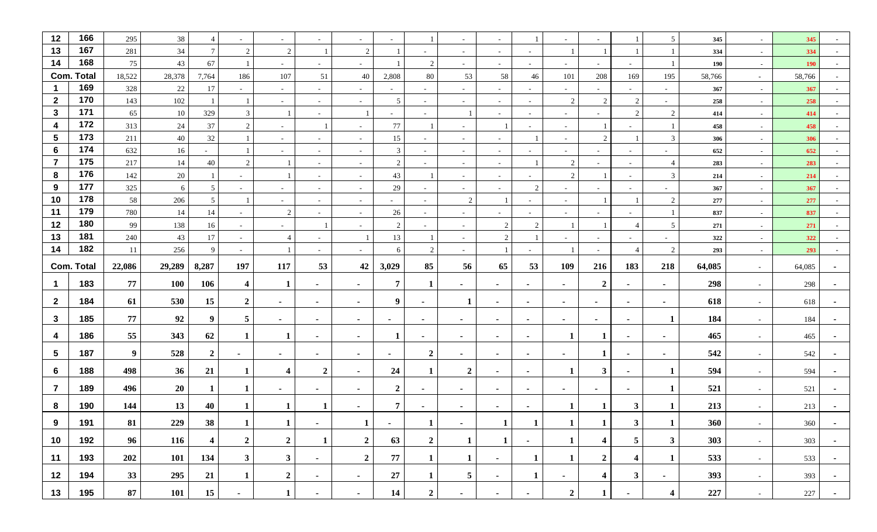| 12                      | 166               | 295                    | 38         | $\overline{4}$          |                          | $\sim$                           |                          | $\overline{\phantom{a}}$   | $\sim$         |                              |                          | $\sim$           |                | $\sim$                 |                                  |                                         | $\overline{5}$         | 345        | $\sim$           | 345        |                  |
|-------------------------|-------------------|------------------------|------------|-------------------------|--------------------------|----------------------------------|--------------------------|----------------------------|----------------|------------------------------|--------------------------|------------------|----------------|------------------------|----------------------------------|-----------------------------------------|------------------------|------------|------------------|------------|------------------|
| 13                      | 167               | 281                    | $34\,$     | $\tau$                  | 2                        | $\overline{2}$                   |                          | 2                          |                |                              | $\overline{\phantom{a}}$ | $\sim$           |                |                        |                                  |                                         |                        | 334        | $\sim$           | 334        |                  |
| 14                      | 168               | 75                     | 43         | 67                      |                          | $\sim$                           | $\sim$                   | $\overline{\phantom{a}}$   |                | 2                            | $\overline{\phantom{a}}$ | $\sim$           | $\sim$         | $\sim$                 | $\sim$                           | $\sim$                                  |                        | 190        | $\sim$           | <b>190</b> |                  |
|                         | <b>Com. Total</b> | 18,522                 | 28,378     | 7,764                   | 186                      | 107                              | 51                       | 40                         | 2,808          | $80\,$                       | 53                       | 58               | 46             | 101                    | 208                              | 169                                     | 195                    | 58,766     | $\sim$           | 58,766     |                  |
| $\overline{\mathbf{1}}$ | 169               | 328                    | $22\,$     | 17                      |                          | $\sim$                           | $\sim$                   |                            | $\sim$         | $\sim$                       |                          | $\sim$           |                | $\sim$                 |                                  | $\overline{\phantom{0}}$                |                        | 367        | $\sim$           | 367        |                  |
| $\overline{2}$          | 170               | 143                    | 102        |                         |                          | $\sim$                           | $\sim$                   | $\overline{\phantom{a}}$   | 5              | $\sim$                       | $\overline{\phantom{a}}$ | $\sim$           | $\sim$         | 2                      | 2                                | 2                                       | $\sim$                 | 258        | $\sim$           | 258        | $\sim$           |
| $\mathbf{3}$            | 171               | 65                     | 10         | 329                     | 3                        |                                  | $\sim$                   |                            | $\sim$         | $\overline{\phantom{a}}$     |                          | $\sim$           | $\sim$         | $\sim$                 |                                  | 2                                       | 2                      | 414        | $\sim$           | 414        |                  |
| $\overline{\mathbf{4}}$ | 172               | 313                    | 24         | 37                      | 2                        | $\sim$                           |                          | $\sim$                     | 77             |                              | $\overline{\phantom{a}}$ |                  | $\sim$         | $\sim$                 |                                  | $\sim$                                  |                        | 458        | $\sim$           | 458        |                  |
| $5\phantom{1}$          | 173               | 211                    | 40         | 32                      |                          | $\sim$                           | $\overline{\phantom{a}}$ | $\overline{\phantom{a}}$   | 15             | $\sim$                       | $\overline{\phantom{a}}$ | $\sim$           |                | $\sim$                 | 2                                |                                         | $\overline{3}$         | 306        | $\sim$           | 306        |                  |
| $6\phantom{1}6$         | 174               | 632                    | 16         |                         |                          | $\sim$                           | $\overline{\phantom{a}}$ |                            | 3              |                              |                          | $\sim$           |                | $\sim$                 | $\sim$                           | $\sim$                                  |                        | 652        | $\sim$           | 652        |                  |
| $\overline{7}$          | 175               | 217                    | 14         | 40                      | 2                        |                                  | $\sim$                   | $\overline{\phantom{a}}$   | 2              | $\sim$                       | $\sim$                   | $\sim$           |                | $\boldsymbol{2}$       | $\sim$                           | $\sim$                                  | $\overline{4}$         | 283        | $\sim$           | 283        | $\sim$           |
| 8                       | 176               | 142                    | 20         |                         | $\overline{\phantom{a}}$ |                                  | $\overline{\phantom{a}}$ | $\overline{\phantom{a}}$   | 43             |                              | $\overline{\phantom{a}}$ | $\sim$           |                | 2                      |                                  | $\sim$                                  | 3                      | 214        | $\sim$           | 214        |                  |
| 9                       | 177               | 325                    | 6          | 5                       | $\overline{\phantom{a}}$ | $\sim$                           | $\overline{\phantom{a}}$ | $\sim$                     | 29             | $\sim$                       | $\sim$                   | $\sim$           | 2              | $\sim$                 | $\sim$                           | $\sim$                                  | $\sim$                 | 367        | $\sim$           | 367        |                  |
| 10                      | 178               | 58                     | 206        | 5 <sup>5</sup>          |                          | $\sim$                           |                          | $\overline{\phantom{a}}$   | $\sim$         |                              | 2                        |                  |                | $\sim$                 |                                  |                                         | $\overline{2}$         | 277        | $\sim$           | 277        |                  |
| 11                      | 179               | 780                    | 14         | 14                      | $\sim$                   | 2                                | $\sim$                   | $\sim$                     | 26             | $\sim$                       | $\sim$                   | $\sim$           |                | $\sim$                 |                                  | $\sim$                                  |                        | 837        | $\sim$           | 837        |                  |
| 12                      | 180               | 99                     | 138        | 16                      | $\sim$                   | $\sim$                           |                          | $\overline{\phantom{a}}$   | 2              |                              | $\sim$                   | 2                | $\overline{2}$ |                        |                                  |                                         | 5                      | 271        | $\sim$           | 271        |                  |
| 13                      | 181               | 240                    | 43         | 17                      | $\sim$                   | $\overline{4}$                   | $\overline{\phantom{a}}$ |                            | 13             |                              | $\overline{\phantom{a}}$ | 2                |                | $\sim$                 | $\sim$                           | $\sim$                                  | $\sim$                 | 322        | $\sim$           | 322        |                  |
| 14                      | 182               | 11                     | 256        | 9                       | $\sim$                   |                                  | $\overline{\phantom{a}}$ |                            | 6              | 2                            |                          |                  |                |                        |                                  | $\overline{4}$                          | $\overline{2}$         | 293        | $\sim$           | 293        |                  |
|                         | <b>Com. Total</b> | 22,086                 | 29,289     | 8,287                   | 197                      | 117                              | 53                       | 42                         | 3,029          | 85                           | 56                       | 65               | 53             | 109                    | 216                              | 183                                     | 218                    | 64,085     | $\sim$           | 64,085     |                  |
| $\mathbf 1$             | 183               | 77                     | <b>100</b> | 106                     | $\overline{\mathbf{4}}$  | 1                                | ٠                        | $\sim$                     | $\overline{7}$ | 1                            | ٠                        | $\sim$           | $\blacksquare$ | $\sim$                 | $\overline{2}$                   | $\sim$                                  | $\sim$                 | 298        | $\sim$           | 298        |                  |
| $\overline{2}$          | 184               | 61                     | 530        | 15                      | $\boldsymbol{2}$         | $\blacksquare$                   | $\blacksquare$           | $\sim$                     | 9              | $\blacksquare$               | 1                        | $\sim$           | $\blacksquare$ | $\blacksquare$         | $\blacksquare$                   | $\sim$                                  | $\blacksquare$         | 618        | $\sim$           | 618        |                  |
| $\mathbf{3}$            | 185               | 77                     | 92         | 9                       |                          |                                  |                          |                            |                |                              |                          |                  |                |                        |                                  |                                         | -1                     | 184        |                  |            |                  |
|                         |                   |                        |            |                         | 5                        | $\sim$                           | $\blacksquare$           | $\sim$                     | $\sim$         | $\blacksquare$               | $\sim$                   | $\sim$           | $\blacksquare$ | $\sim$                 | $\sim$                           | $\sim$                                  |                        |            | $\sim$           | 184        |                  |
| $\overline{\mathbf{4}}$ | 186               | 55                     | 343        | 62                      | 1                        | -1                               | $\blacksquare$           | $\sim$                     |                | $\blacksquare$               | ٠                        | $\sim$           | $\blacksquare$ | 1                      |                                  | $\sim$                                  | $\blacksquare$         | 465        | $\sim$           | 465        |                  |
| 5                       | 187               | 9                      | 528        | $\overline{2}$          | ٠                        | $\blacksquare$                   | $\blacksquare$           | $\sim$                     | $\blacksquare$ | $\overline{2}$               | $\blacksquare$           | $\sim$           |                | ٠                      |                                  | $\overline{\phantom{a}}$                | $\blacksquare$         | 542        | $\sim$           | 542        |                  |
| 6                       | 188               | 498                    | 36         | 21                      | -1                       | 4                                | $\overline{2}$           | $\sim$                     | 24             | 1                            | $\boldsymbol{2}$         | $\sim$           | $\sim$         | 1                      | $\mathbf{3}$                     | $\sim$                                  | 1                      | 594        | $\sim$           | 594        |                  |
| $\overline{7}$          | 189               | 496                    | 20         | 1                       | 1                        | $\blacksquare$                   | $\blacksquare$           | $\sim$                     | $\overline{2}$ | $\blacksquare$               | $\blacksquare$           | $\sim$           | $\blacksquare$ | $\blacksquare$         | $\blacksquare$                   | $\sim$                                  | $\mathbf{1}$           | 521        | $\sim$           | 521        |                  |
| 8                       | 190               | 144                    | 13         | 40                      |                          |                                  |                          |                            | $\overline{7}$ |                              | ٠                        | $\sim$           |                |                        |                                  | $\mathbf{3}$                            |                        | 213        |                  | 213        |                  |
| 9                       |                   |                        | 229        | 38                      | $\mathbf{I}$             | $\perp$                          | $\sim$                   | $\mathbf{I}$               | $\sim$         | $\mathbf{1}$                 | $\sim$                   | $\mathbf{I}$     | $\mathbf{I}$   | $\mathbf{I}$           | $\mathbf{I}$                     | $3^{\circ}$                             | $\mathbf{I}$           | <b>360</b> | $\sim$           | 360        | $\sim$           |
|                         |                   |                        |            |                         |                          |                                  |                          |                            |                |                              |                          |                  |                |                        |                                  |                                         |                        |            |                  |            |                  |
|                         | 191               | 81                     |            |                         |                          |                                  |                          |                            |                |                              |                          |                  | $\sim$         |                        |                                  |                                         |                        |            | $\sim$           |            | $\sim$           |
| 10                      | 192               | 96                     | 116        | $\overline{\mathbf{4}}$ | $\overline{2}$           | $\overline{2}$                   | $\mathbf{1}$             | $\overline{2}$             | 63             | $\overline{2}$               | $\mathbf{1}$             | $\mathbf{1}$     |                | $\mathbf{1}$           | $\overline{\mathbf{4}}$          | 5 <sub>5</sub>                          | $\mathbf{3}$           | 303        |                  | 303        |                  |
| 11<br>12                | 193<br>194        | 202<br>33 <sup>3</sup> | 101<br>295 | 134<br>21               | $\mathbf{3}$<br>1        | 3 <sup>1</sup><br>$\overline{2}$ | $\blacksquare$<br>$\sim$ | $\boldsymbol{2}$<br>$\sim$ | 77<br>27       | $\mathbf{1}$<br>$\mathbf{1}$ | $\mathbf{1}$<br>5        | $\sim$<br>$\sim$ | 1<br>1         | $\mathbf{1}$<br>$\sim$ | $\overline{2}$<br>$\overline{4}$ | $\overline{\mathbf{4}}$<br>$\mathbf{3}$ | $\mathbf{1}$<br>$\sim$ | 533<br>393 | $\sim$<br>$\sim$ | 533<br>393 | $\sim$<br>$\sim$ |